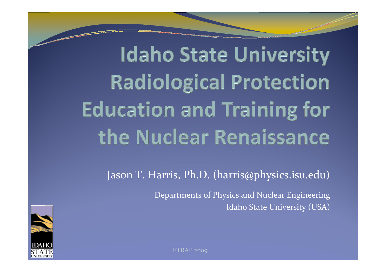**Idaho State University Radiological Protection Education and Training for** the Nuclear Renaissance

Jason T. Harris, Ph.D. (harris@physics.isu.edu)

Departments of Physics and Nuclear Engineering Idaho State University (USA)

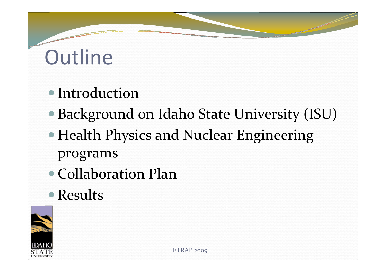### **Outline**

#### • Introduction

- Background on Idaho State University (ISU)
- Health Physics and Nuclear Engineering programs
- Collaboration Plan
- Results

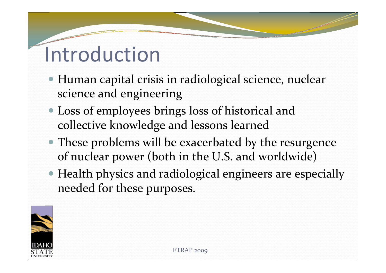#### Introduction

- Human capital crisis in radiological science, nuclear science and engineering
- Loss of employees brings loss of historical and collective knowledge and lessons learned
- These problems will be exacerbated by the resurgence of nuclear power (both in the U.S. and worldwide)
- Health physics and radiological engineers are especially needed for these purposes.

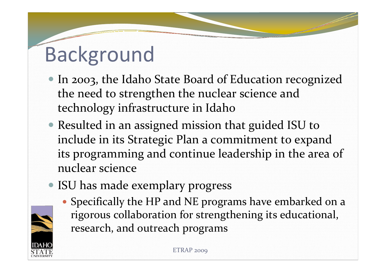### Background

- In 2003, the Idaho State Board of Education recognized the need to strengthen the nuclear science and technology infrastructure in Idaho
- Resulted in an assigned mission that guided ISU to include in its Strategic Plan <sup>a</sup> commitment to expand its programming and continue leadership in the area of nuclear science
- ISU has made exemplary progress

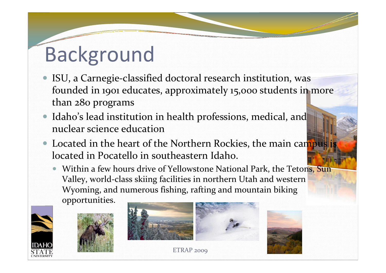#### Background

- ISU, a Carnegie-classified doctoral research institution, was founded in 1901 educates, approximately 15,000 students in more than 280 programs
- $\bullet$  Idaho's lead institution in health professions, medical, and nuclear science education
- $\bullet$ • Located in the heart of the Northern Rockies, the main campus is located in Pocatello in southeastern Idaho.
	- $\bullet$ • Within a few hours drive of Yellowstone National Park, the Tetons, Sun Valley, world‐class skiing facilities in northern Utah and western Wyoming, and numerous fishing, rafting and mountain biking

opportunities.







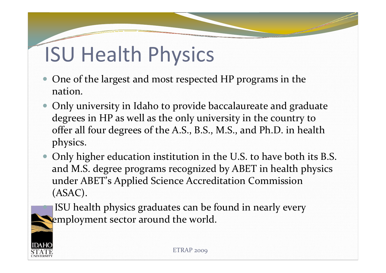## ISU Health Physics

- $\bullet$  One of the largest and most respected HP programs in the nation.
- $\bullet$  Only university in Idaho to provide baccalaureate and graduate degrees in HP as well as the only university in the country to offer all four degrees of the A.S., B.S., M.S., and Ph.D. in health physics.
- $\bullet$  Only higher education institution in the U.S. to have both its B.S. and M.S. degree programs recognized by ABET in health physics under ABET's Applied Science Accreditation Commission (ASAC).

**ISU health physics graduates can be found in nearly every** employment sector around the world.



O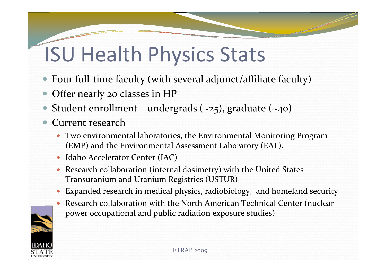## ISU Health Physics Stats

- $\bullet$ Four full-time faculty (with several adjunct/affiliate faculty)
- $\bullet$ Offer nearly <sup>20</sup> classes in HP
- $\bullet$ Student enrollment – undergrads  $(-25)$ , graduate  $(-40)$
- $\bullet$  Current research
	- Two environmental laboratories, the Environmental Monitoring Program (EMP) and the Environmental Assessment Laboratory (EAL).
	- Idaho Accelerator Center (IAC)
	- Research collaboration (internal dosimetry) with the United States Transuranium and Uranium Registries (USTUR)
	- $\bullet$ Expanded research in medical physics, radiobiology, and homeland security
	- Research collaboration with the North American Technical Center (nuclear power occupational and public radiation exposure studies)

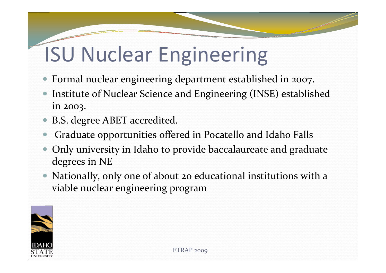### ISU Nuclear Engineering

- $\bullet$ Formal nuclear engineering department established in 2007.
- $\bullet$ **• Institute of Nuclear Science and Engineering (INSE) established** in 2003.
- $\bullet$ B.S. degree ABET accredited.
- $\bullet$ Graduate opportunities offered in Pocatello and Idaho Falls
- $\bullet$  Only university in Idaho to provide baccalaureate and graduate degrees in NE
- $\bullet$  Nationally, only one of about <sup>20</sup> educational institutions with <sup>a</sup> viable nuclear engineering program

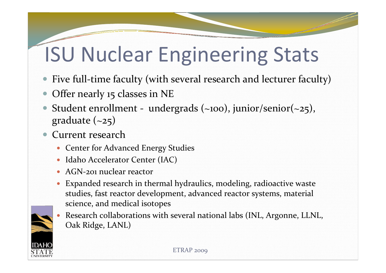### ISU Nuclear Engineering Stats

- $\bullet$ Five full-time faculty (with several research and lecturer faculty)
- $\bullet$ Offer nearly 15 classes in NE
- $\bullet$ Student enrollment - undergrads  $(-100)$ , junior/senior $(-25)$ , graduate  $(-25)$
- $\bullet$  Current research
	- Center for Advanced Energy Studies
	- Idaho Accelerator Center (IAC)
	- AGN-201 nuclear reactor
	- Expanded research in thermal hydraulics, modeling, radioactive waste studies, fast reactor development, advanced reactor systems, material science, and medical isotopes
	- $\bullet$  Research collaborations with several national labs (INL, Argonne, LLNL, Oak Ridge, LANL)

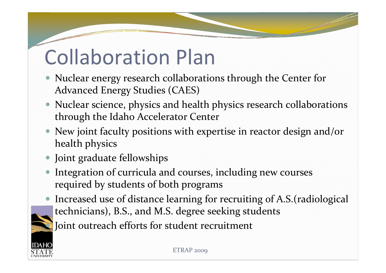### Collaboration Plan

- Nuclear energy research collaborations through the Center for Advanced Energy Studies (CAES)
- Nuclear science, physics and health physics research collaborations through the Idaho Accelerator Center
- New joint faculty positions with expertise in reactor design and/or health physics
- Joint graduate fellowships
- $\bullet$  Integration of curricula and courses, including new courses required by students of both programs
- $\bullet$ • Increased use of distance learning for recruiting of A.S.(radiological technicians), B.S., and M.S. degree seeking students

Joint outreach efforts for student recruitment

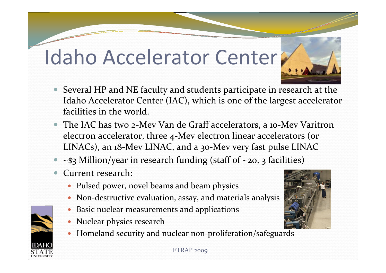#### Idaho Accelerator Center



- $\bullet$  The IAC has two <sup>2</sup>‐Mev Van de Graff accelerators, <sup>a</sup> <sup>10</sup>‐Mev Varitron electron accelerator, three <sup>4</sup>‐Mev electron linear accelerators (or LINACs), an <sup>18</sup>‐Mev LINAC, and <sup>a</sup> <sup>30</sup>‐Mev very fast pulse LINAC
- $\bullet$  $\sim$ \$3 Million/year in research funding (staff of  $\sim$ 20, 3 facilities)
- $\bullet$ Current research:

 $\bullet$ 

- Pulsed power, novel beams and beam physics
- Non-destructive evaluation, assay, and materials analysis
- $\bullet$ Basic nuclear measurements and applications
- Nuclear physics research
- Homeland security and nuclear non-proliferation/safeguards

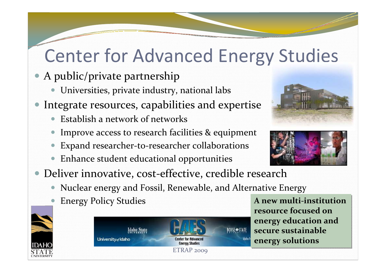#### Center for Advanced Energy Studies

- $\bullet$  A public/private partnership
	- $\bullet$ Universities, private industry, national labs
- $\bullet$  Integrate resources, capabilities and expertise
	- Establish a network of networks
	- $\bullet$ Improve access to research facilities & equipment
	- $\bullet$ Expand researcher‐to‐researcher collaborations
	- $\bullet$ Enhance student educational opportunities
- Deliver innovative, cost-effective, credible research
	- $\bullet$ Nuclear energy and Fossil, Renewable, and Alternative Energy
	- $\bullet$ **Energy Policy Studies**



**resource focused onresource focused onenergy education and energy education and secure sustainable secure sustainable energy solutions energy solutions A new multi‐institution**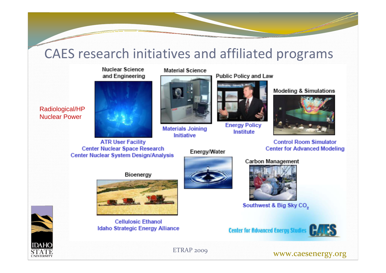#### CAES research initiatives and affiliated programs

**Nuclear Science** and Engineering



**ATR User Facility Center Nuclear Space Research** Center Nuclear System Design/Analysis

#### **Material Science**



**Materials Joining** Initiative

Energy/Water

**Public Policy and Law** 



**Energy Policy** 

Institute



**Modeling & Simulations** 

**Control Room Simulator Center for Advanced Modeling** 

#### **Carbon Management**



Southwest & Big Sky CO<sub>2</sub>

**Center for Advanced Energy Stud** 





Radiological/HP Nuclear Power



**Cellulosic Ethanol Idaho Strategic Energy Alliance** 

ETRAP 2009 **WWW.caesenergy.org** 

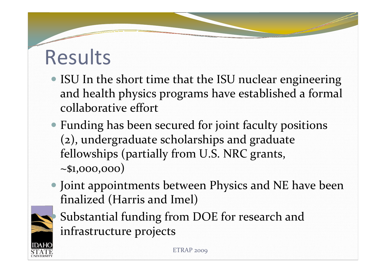#### Results

- ISU In the short time that the ISU nuclear engineering and health physics programs have established <sup>a</sup> formal collaborative effort
- Funding has been secured for joint faculty positions (2), undergraduate scholarships and graduate fellowships (partially from U.S. NRC grants, ~\$1,000,000)
- Joint appointments between Physics and NE have been finalized (Harris and Imel)
- O
- Substantial funding from DOE for research and infrastructure projects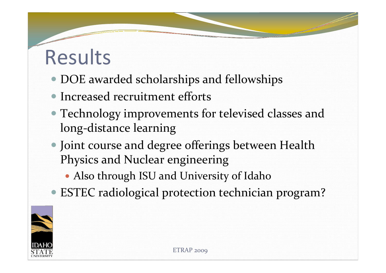#### Results

- DOE awarded scholarships and fellowships
- Increased recruitment efforts
- Technology improvements for televised classes and long‐distance learning
- Joint course and degree offerings between Health Physics and Nuclear engineering
	- Also through ISU and University of Idaho
- ESTEC radiological protection technician program?